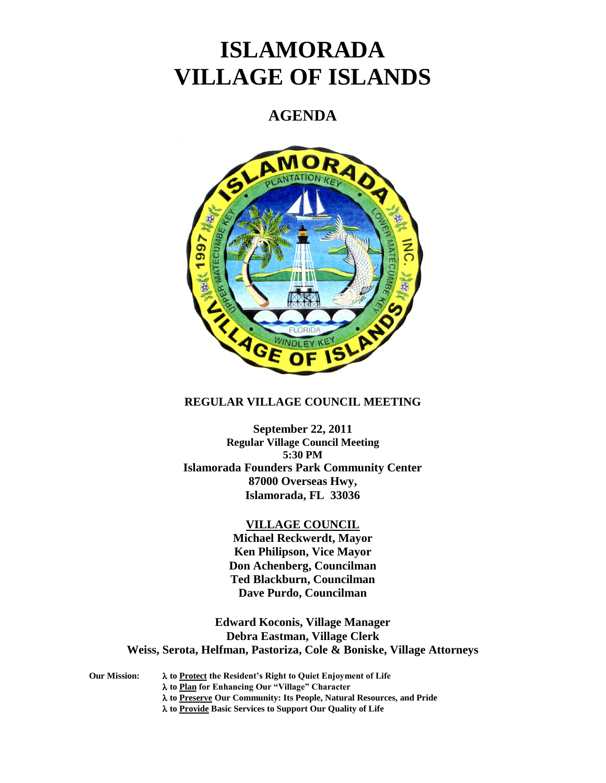# **ISLAMORADA VILLAGE OF ISLANDS**

# **AGENDA**



#### **REGULAR VILLAGE COUNCIL MEETING**

**September 22, 2011 Regular Village Council Meeting 5:30 PM Islamorada Founders Park Community Center 87000 Overseas Hwy, Islamorada, FL 33036**

#### **VILLAGE COUNCIL**

**Michael Reckwerdt, Mayor Ken Philipson, Vice Mayor Don Achenberg, Councilman Ted Blackburn, Councilman Dave Purdo, Councilman**

**Edward Koconis, Village Manager Debra Eastman, Village Clerk Weiss, Serota, Helfman, Pastoriza, Cole & Boniske, Village Attorneys**

**Our Mission: to Protect the Resident's Right to Quiet Enjoyment of Life to Plan for Enhancing Our "Village" Character to Preserve Our Community: Its People, Natural Resources, and Pride to Provide Basic Services to Support Our Quality of Life**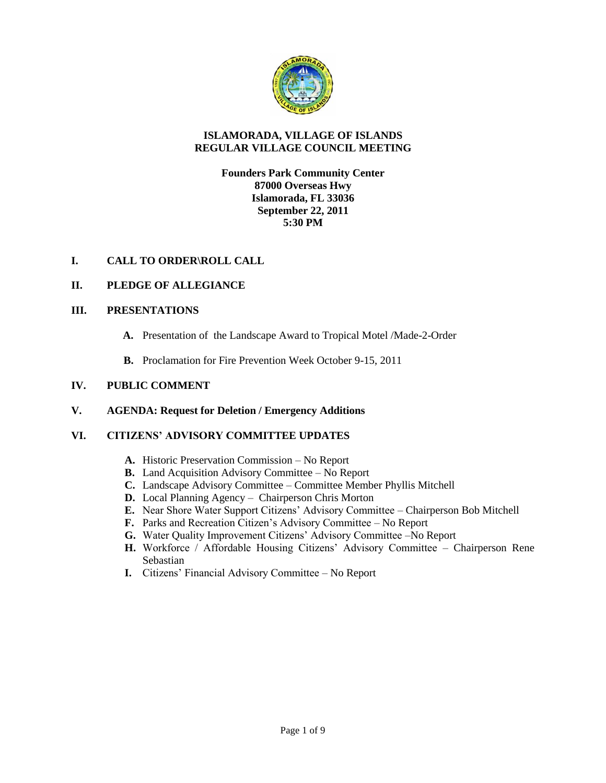

#### **ISLAMORADA, VILLAGE OF ISLANDS REGULAR VILLAGE COUNCIL MEETING**

**Founders Park Community Center 87000 Overseas Hwy Islamorada, FL 33036 September 22, 2011 5:30 PM**

# **I. CALL TO ORDER\ROLL CALL**

# **II. PLEDGE OF ALLEGIANCE**

#### **III. PRESENTATIONS**

- **A.** Presentation of the Landscape Award to Tropical Motel /Made-2-Order
- **B.** Proclamation for Fire Prevention Week October 9-15, 2011

## **IV. PUBLIC COMMENT**

# **V. AGENDA: Request for Deletion / Emergency Additions**

# **VI. CITIZENS' ADVISORY COMMITTEE UPDATES**

- **A.** Historic Preservation Commission No Report
- **B.** Land Acquisition Advisory Committee No Report
- **C.** Landscape Advisory Committee Committee Member Phyllis Mitchell
- **D.** Local Planning Agency Chairperson Chris Morton
- **E.** Near Shore Water Support Citizens' Advisory Committee Chairperson Bob Mitchell
- **F.** Parks and Recreation Citizen's Advisory Committee No Report
- **G.** Water Quality Improvement Citizens' Advisory Committee –No Report
- **H.** Workforce / Affordable Housing Citizens' Advisory Committee Chairperson Rene Sebastian
- **I.** Citizens' Financial Advisory Committee No Report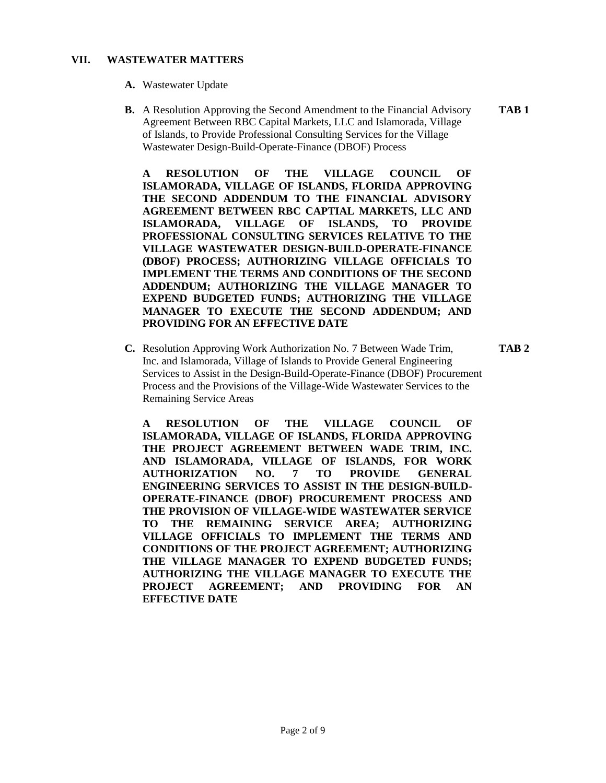#### **VII. WASTEWATER MATTERS**

#### **A.** Wastewater Update

**B.** A Resolution Approving the Second Amendment to the Financial Advisory **TAB 1** Agreement Between RBC Capital Markets, LLC and Islamorada, Village of Islands, to Provide Professional Consulting Services for the Village Wastewater Design-Build-Operate-Finance (DBOF) Process

**A RESOLUTION OF THE VILLAGE COUNCIL OF ISLAMORADA, VILLAGE OF ISLANDS, FLORIDA APPROVING THE SECOND ADDENDUM TO THE FINANCIAL ADVISORY AGREEMENT BETWEEN RBC CAPTIAL MARKETS, LLC AND ISLAMORADA, VILLAGE OF ISLANDS, TO PROVIDE PROFESSIONAL CONSULTING SERVICES RELATIVE TO THE VILLAGE WASTEWATER DESIGN-BUILD-OPERATE-FINANCE (DBOF) PROCESS; AUTHORIZING VILLAGE OFFICIALS TO IMPLEMENT THE TERMS AND CONDITIONS OF THE SECOND ADDENDUM; AUTHORIZING THE VILLAGE MANAGER TO EXPEND BUDGETED FUNDS; AUTHORIZING THE VILLAGE MANAGER TO EXECUTE THE SECOND ADDENDUM; AND PROVIDING FOR AN EFFECTIVE DATE**

**C.** Resolution Approving Work Authorization No. 7 Between Wade Trim, **TAB 2** Inc. and Islamorada, Village of Islands to Provide General Engineering Services to Assist in the Design-Build-Operate-Finance (DBOF) Procurement Process and the Provisions of the Village-Wide Wastewater Services to the Remaining Service Areas

**A RESOLUTION OF THE VILLAGE COUNCIL OF ISLAMORADA, VILLAGE OF ISLANDS, FLORIDA APPROVING THE PROJECT AGREEMENT BETWEEN WADE TRIM, INC. AND ISLAMORADA, VILLAGE OF ISLANDS, FOR WORK AUTHORIZATION NO. 7 TO PROVIDE GENERAL ENGINEERING SERVICES TO ASSIST IN THE DESIGN-BUILD-OPERATE-FINANCE (DBOF) PROCUREMENT PROCESS AND THE PROVISION OF VILLAGE-WIDE WASTEWATER SERVICE TO THE REMAINING SERVICE AREA; AUTHORIZING VILLAGE OFFICIALS TO IMPLEMENT THE TERMS AND CONDITIONS OF THE PROJECT AGREEMENT; AUTHORIZING THE VILLAGE MANAGER TO EXPEND BUDGETED FUNDS; AUTHORIZING THE VILLAGE MANAGER TO EXECUTE THE PROJECT AGREEMENT; AND PROVIDING FOR AN EFFECTIVE DATE**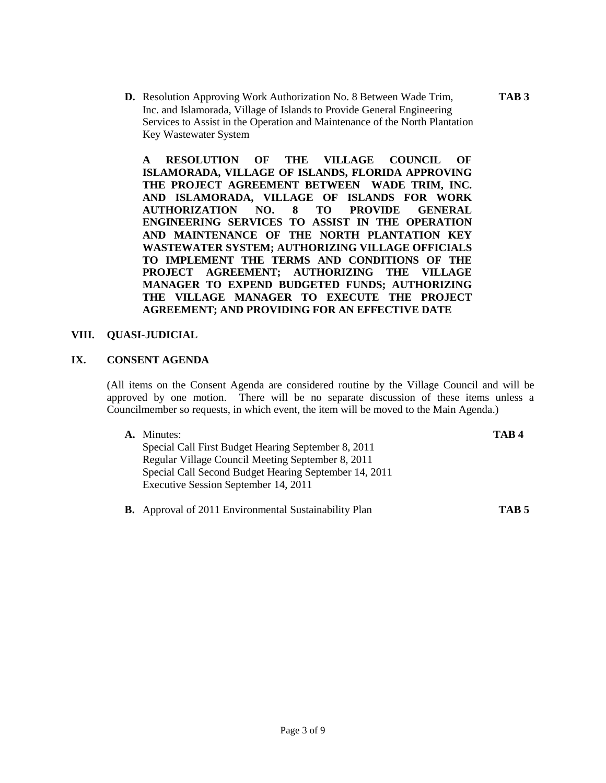**D.** Resolution Approving Work Authorization No. 8 Between Wade Trim, **TAB 3** Inc. and Islamorada, Village of Islands to Provide General Engineering Services to Assist in the Operation and Maintenance of the North Plantation Key Wastewater System

**A RESOLUTION OF THE VILLAGE COUNCIL OF ISLAMORADA, VILLAGE OF ISLANDS, FLORIDA APPROVING THE PROJECT AGREEMENT BETWEEN WADE TRIM, INC. AND ISLAMORADA, VILLAGE OF ISLANDS FOR WORK AUTHORIZATION NO. 8 TO PROVIDE GENERAL ENGINEERING SERVICES TO ASSIST IN THE OPERATION AND MAINTENANCE OF THE NORTH PLANTATION KEY WASTEWATER SYSTEM; AUTHORIZING VILLAGE OFFICIALS TO IMPLEMENT THE TERMS AND CONDITIONS OF THE PROJECT AGREEMENT; AUTHORIZING THE VILLAGE MANAGER TO EXPEND BUDGETED FUNDS; AUTHORIZING THE VILLAGE MANAGER TO EXECUTE THE PROJECT AGREEMENT; AND PROVIDING FOR AN EFFECTIVE DATE**

#### **VIII. QUASI-JUDICIAL**

## **IX. CONSENT AGENDA**

(All items on the Consent Agenda are considered routine by the Village Council and will be approved by one motion. There will be no separate discussion of these items unless a Councilmember so requests, in which event, the item will be moved to the Main Agenda.)

| А. | Minutes: |
|----|----------|
|    |          |

**A.** Minutes: **TAB 4** Special Call First Budget Hearing September 8, 2011 Regular Village Council Meeting September 8, 2011 Special Call Second Budget Hearing September 14, 2011 Executive Session September 14, 2011

**B.** Approval of 2011 Environmental Sustainability Plan **TAB 5**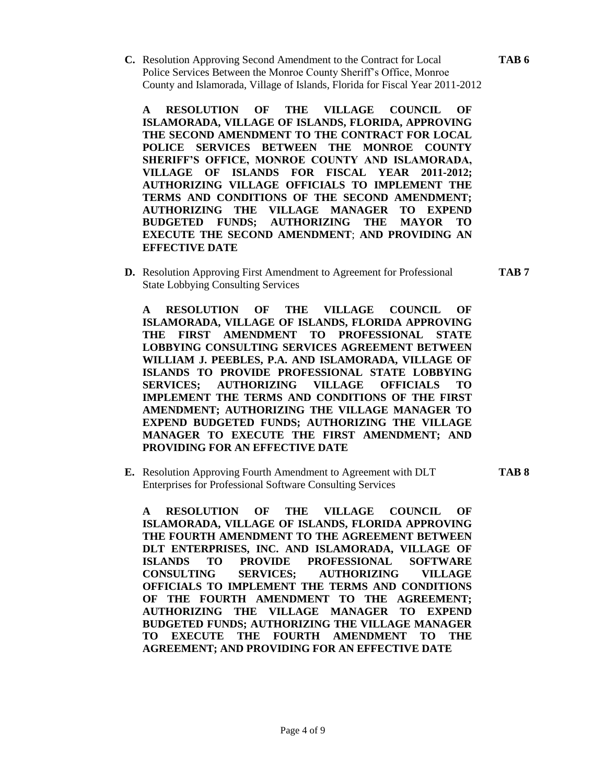**C.** Resolution Approving Second Amendment to the Contract for Local **TAB 6** Police Services Between the Monroe County Sheriff's Office, Monroe County and Islamorada, Village of Islands, Florida for Fiscal Year 2011-2012

**A RESOLUTION OF THE VILLAGE COUNCIL OF ISLAMORADA, VILLAGE OF ISLANDS, FLORIDA, APPROVING THE SECOND AMENDMENT TO THE CONTRACT FOR LOCAL POLICE SERVICES BETWEEN THE MONROE COUNTY SHERIFF'S OFFICE, MONROE COUNTY AND ISLAMORADA, VILLAGE OF ISLANDS FOR FISCAL YEAR 2011-2012; AUTHORIZING VILLAGE OFFICIALS TO IMPLEMENT THE TERMS AND CONDITIONS OF THE SECOND AMENDMENT; AUTHORIZING THE VILLAGE MANAGER TO EXPEND BUDGETED FUNDS; AUTHORIZING THE MAYOR TO EXECUTE THE SECOND AMENDMENT**; **AND PROVIDING AN EFFECTIVE DATE**

**D.** Resolution Approving First Amendment to Agreement for Professional **TAB 7** State Lobbying Consulting Services

**A RESOLUTION OF THE VILLAGE COUNCIL OF ISLAMORADA, VILLAGE OF ISLANDS, FLORIDA APPROVING THE FIRST AMENDMENT TO PROFESSIONAL STATE LOBBYING CONSULTING SERVICES AGREEMENT BETWEEN WILLIAM J. PEEBLES, P.A. AND ISLAMORADA, VILLAGE OF ISLANDS TO PROVIDE PROFESSIONAL STATE LOBBYING SERVICES; AUTHORIZING VILLAGE OFFICIALS TO IMPLEMENT THE TERMS AND CONDITIONS OF THE FIRST AMENDMENT; AUTHORIZING THE VILLAGE MANAGER TO EXPEND BUDGETED FUNDS; AUTHORIZING THE VILLAGE MANAGER TO EXECUTE THE FIRST AMENDMENT; AND PROVIDING FOR AN EFFECTIVE DATE**

**E.** Resolution Approving Fourth Amendment to Agreement with DLT **TAB 8** Enterprises for Professional Software Consulting Services

**A RESOLUTION OF THE VILLAGE COUNCIL OF ISLAMORADA, VILLAGE OF ISLANDS, FLORIDA APPROVING THE FOURTH AMENDMENT TO THE AGREEMENT BETWEEN DLT ENTERPRISES, INC. AND ISLAMORADA, VILLAGE OF ISLANDS TO PROVIDE PROFESSIONAL SOFTWARE CONSULTING SERVICES; AUTHORIZING VILLAGE OFFICIALS TO IMPLEMENT THE TERMS AND CONDITIONS OF THE FOURTH AMENDMENT TO THE AGREEMENT; AUTHORIZING THE VILLAGE MANAGER TO EXPEND BUDGETED FUNDS; AUTHORIZING THE VILLAGE MANAGER TO EXECUTE THE FOURTH AMENDMENT TO THE AGREEMENT; AND PROVIDING FOR AN EFFECTIVE DATE**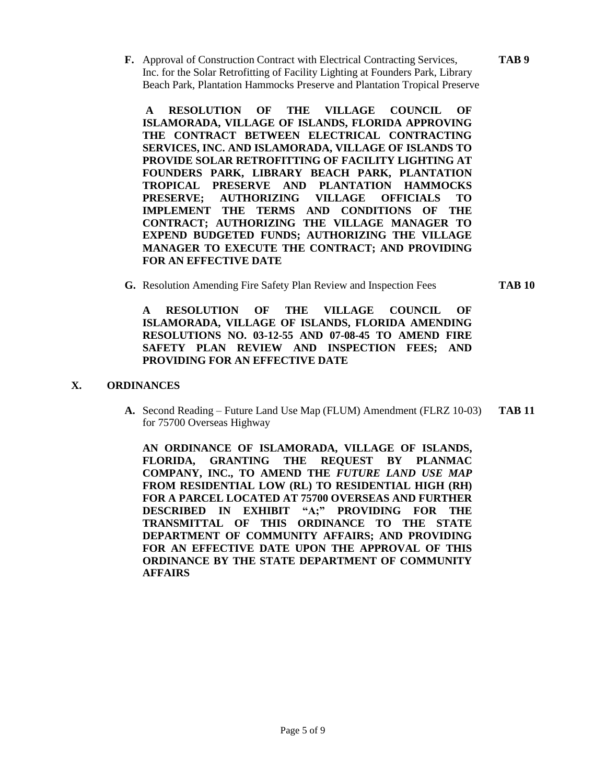**F.** Approval of Construction Contract with Electrical Contracting Services, **TAB 9** Inc. for the Solar Retrofitting of Facility Lighting at Founders Park, Library Beach Park, Plantation Hammocks Preserve and Plantation Tropical Preserve

**A RESOLUTION OF THE VILLAGE COUNCIL OF ISLAMORADA, VILLAGE OF ISLANDS, FLORIDA APPROVING THE CONTRACT BETWEEN ELECTRICAL CONTRACTING SERVICES, INC. AND ISLAMORADA, VILLAGE OF ISLANDS TO PROVIDE SOLAR RETROFITTING OF FACILITY LIGHTING AT FOUNDERS PARK, LIBRARY BEACH PARK, PLANTATION TROPICAL PRESERVE AND PLANTATION HAMMOCKS PRESERVE; AUTHORIZING VILLAGE OFFICIALS TO IMPLEMENT THE TERMS AND CONDITIONS OF THE CONTRACT; AUTHORIZING THE VILLAGE MANAGER TO EXPEND BUDGETED FUNDS; AUTHORIZING THE VILLAGE MANAGER TO EXECUTE THE CONTRACT; AND PROVIDING FOR AN EFFECTIVE DATE**

**G.** Resolution Amending Fire Safety Plan Review and Inspection Fees **TAB 10**

**A RESOLUTION OF THE VILLAGE COUNCIL OF ISLAMORADA, VILLAGE OF ISLANDS, FLORIDA AMENDING RESOLUTIONS NO. 03-12-55 AND 07-08-45 TO AMEND FIRE SAFETY PLAN REVIEW AND INSPECTION FEES; AND PROVIDING FOR AN EFFECTIVE DATE**

#### **X. ORDINANCES**

**A.** Second Reading – Future Land Use Map (FLUM) Amendment (FLRZ 10-03) **TAB 11** for 75700 Overseas Highway

**AN ORDINANCE OF ISLAMORADA, VILLAGE OF ISLANDS, FLORIDA, GRANTING THE REQUEST BY PLANMAC COMPANY, INC., TO AMEND THE** *FUTURE LAND USE MAP* **FROM RESIDENTIAL LOW (RL) TO RESIDENTIAL HIGH (RH) FOR A PARCEL LOCATED AT 75700 OVERSEAS AND FURTHER DESCRIBED IN EXHIBIT "A;" PROVIDING FOR THE TRANSMITTAL OF THIS ORDINANCE TO THE STATE DEPARTMENT OF COMMUNITY AFFAIRS; AND PROVIDING FOR AN EFFECTIVE DATE UPON THE APPROVAL OF THIS ORDINANCE BY THE STATE DEPARTMENT OF COMMUNITY AFFAIRS**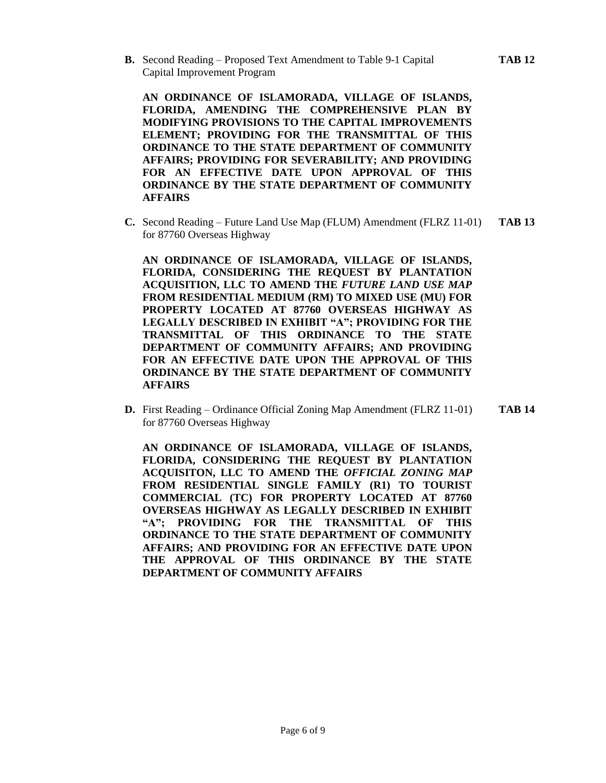**B.** Second Reading – Proposed Text Amendment to Table 9-1 Capital **TAB 12** Capital Improvement Program

**AN ORDINANCE OF ISLAMORADA, VILLAGE OF ISLANDS, FLORIDA, AMENDING THE COMPREHENSIVE PLAN BY MODIFYING PROVISIONS TO THE CAPITAL IMPROVEMENTS ELEMENT; PROVIDING FOR THE TRANSMITTAL OF THIS ORDINANCE TO THE STATE DEPARTMENT OF COMMUNITY AFFAIRS; PROVIDING FOR SEVERABILITY; AND PROVIDING FOR AN EFFECTIVE DATE UPON APPROVAL OF THIS ORDINANCE BY THE STATE DEPARTMENT OF COMMUNITY AFFAIRS**

**C.** Second Reading – Future Land Use Map (FLUM) Amendment (FLRZ 11-01) **TAB 13** for 87760 Overseas Highway

**AN ORDINANCE OF ISLAMORADA, VILLAGE OF ISLANDS, FLORIDA, CONSIDERING THE REQUEST BY PLANTATION ACQUISITION, LLC TO AMEND THE** *FUTURE LAND USE MAP* **FROM RESIDENTIAL MEDIUM (RM) TO MIXED USE (MU) FOR PROPERTY LOCATED AT 87760 OVERSEAS HIGHWAY AS LEGALLY DESCRIBED IN EXHIBIT "A"; PROVIDING FOR THE TRANSMITTAL OF THIS ORDINANCE TO THE STATE DEPARTMENT OF COMMUNITY AFFAIRS; AND PROVIDING FOR AN EFFECTIVE DATE UPON THE APPROVAL OF THIS ORDINANCE BY THE STATE DEPARTMENT OF COMMUNITY AFFAIRS** 

**D.** First Reading – Ordinance Official Zoning Map Amendment (FLRZ 11-01) **TAB 14** for 87760 Overseas Highway

**AN ORDINANCE OF ISLAMORADA, VILLAGE OF ISLANDS, FLORIDA, CONSIDERING THE REQUEST BY PLANTATION ACQUISITON, LLC TO AMEND THE** *OFFICIAL ZONING MAP* **FROM RESIDENTIAL SINGLE FAMILY (R1) TO TOURIST COMMERCIAL (TC) FOR PROPERTY LOCATED AT 87760 OVERSEAS HIGHWAY AS LEGALLY DESCRIBED IN EXHIBIT "A"; PROVIDING FOR THE TRANSMITTAL OF THIS ORDINANCE TO THE STATE DEPARTMENT OF COMMUNITY AFFAIRS; AND PROVIDING FOR AN EFFECTIVE DATE UPON THE APPROVAL OF THIS ORDINANCE BY THE STATE DEPARTMENT OF COMMUNITY AFFAIRS**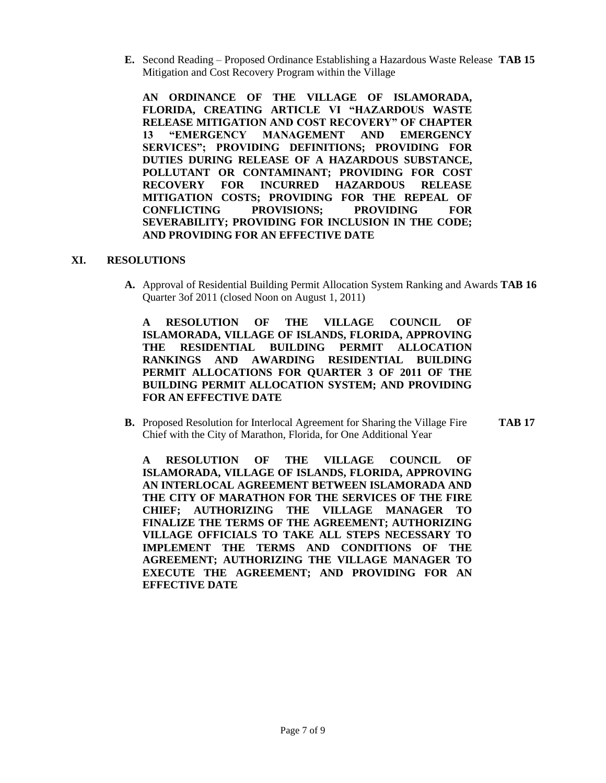**E.** Second Reading – Proposed Ordinance Establishing a Hazardous Waste Release **TAB 15** Mitigation and Cost Recovery Program within the Village

**AN ORDINANCE OF THE VILLAGE OF ISLAMORADA, FLORIDA, CREATING ARTICLE VI "HAZARDOUS WASTE RELEASE MITIGATION AND COST RECOVERY" OF CHAPTER 13 "EMERGENCY MANAGEMENT AND EMERGENCY SERVICES"; PROVIDING DEFINITIONS; PROVIDING FOR DUTIES DURING RELEASE OF A HAZARDOUS SUBSTANCE, POLLUTANT OR CONTAMINANT; PROVIDING FOR COST RECOVERY FOR INCURRED HAZARDOUS RELEASE MITIGATION COSTS; PROVIDING FOR THE REPEAL OF CONFLICTING PROVISIONS; PROVIDING FOR SEVERABILITY; PROVIDING FOR INCLUSION IN THE CODE; AND PROVIDING FOR AN EFFECTIVE DATE**

#### **XI. RESOLUTIONS**

**A.** Approval of Residential Building Permit Allocation System Ranking and Awards **TAB 16** Quarter 3of 2011 (closed Noon on August 1, 2011)

**A RESOLUTION OF THE VILLAGE COUNCIL OF ISLAMORADA, VILLAGE OF ISLANDS, FLORIDA, APPROVING THE RESIDENTIAL BUILDING PERMIT ALLOCATION RANKINGS AND AWARDING RESIDENTIAL BUILDING PERMIT ALLOCATIONS FOR QUARTER 3 OF 2011 OF THE BUILDING PERMIT ALLOCATION SYSTEM; AND PROVIDING FOR AN EFFECTIVE DATE**

**B.** Proposed Resolution for Interlocal Agreement for Sharing the Village Fire **TAB 17** Chief with the City of Marathon, Florida, for One Additional Year

**A RESOLUTION OF THE VILLAGE COUNCIL OF ISLAMORADA, VILLAGE OF ISLANDS, FLORIDA, APPROVING AN INTERLOCAL AGREEMENT BETWEEN ISLAMORADA AND THE CITY OF MARATHON FOR THE SERVICES OF THE FIRE CHIEF; AUTHORIZING THE VILLAGE MANAGER TO FINALIZE THE TERMS OF THE AGREEMENT; AUTHORIZING VILLAGE OFFICIALS TO TAKE ALL STEPS NECESSARY TO IMPLEMENT THE TERMS AND CONDITIONS OF THE AGREEMENT; AUTHORIZING THE VILLAGE MANAGER TO EXECUTE THE AGREEMENT; AND PROVIDING FOR AN EFFECTIVE DATE**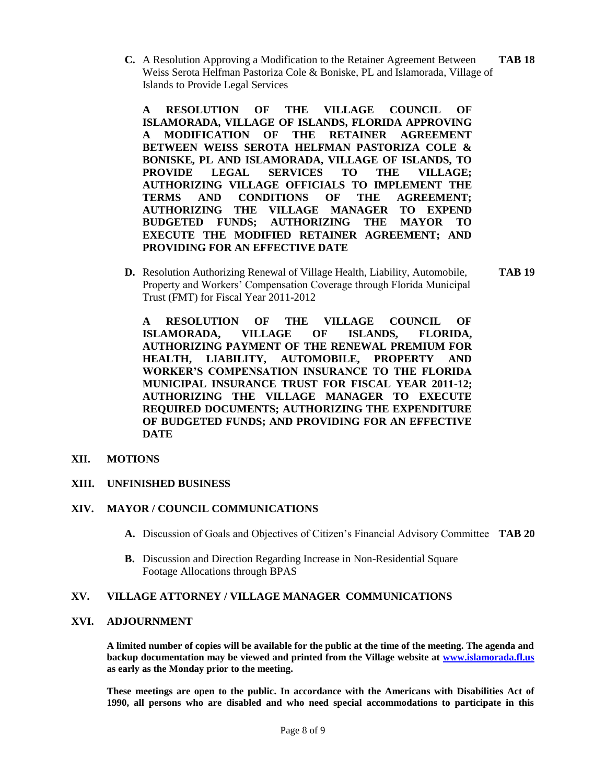**C.** A Resolution Approving a Modification to the Retainer Agreement Between **TAB 18** Weiss Serota Helfman Pastoriza Cole & Boniske, PL and Islamorada, Village of Islands to Provide Legal Services

**A RESOLUTION OF THE VILLAGE COUNCIL OF ISLAMORADA, VILLAGE OF ISLANDS, FLORIDA APPROVING A MODIFICATION OF THE RETAINER AGREEMENT BETWEEN WEISS SEROTA HELFMAN PASTORIZA COLE & BONISKE, PL AND ISLAMORADA, VILLAGE OF ISLANDS, TO PROVIDE LEGAL SERVICES TO THE VILLAGE; AUTHORIZING VILLAGE OFFICIALS TO IMPLEMENT THE TERMS AND CONDITIONS OF THE AGREEMENT; AUTHORIZING THE VILLAGE MANAGER TO EXPEND BUDGETED FUNDS; AUTHORIZING THE MAYOR TO EXECUTE THE MODIFIED RETAINER AGREEMENT; AND PROVIDING FOR AN EFFECTIVE DATE**

**D.** Resolution Authorizing Renewal of Village Health, Liability, Automobile, **TAB 19** Property and Workers' Compensation Coverage through Florida Municipal Trust (FMT) for Fiscal Year 2011-2012

**A RESOLUTION OF THE VILLAGE COUNCIL OF ISLAMORADA, VILLAGE OF ISLANDS, FLORIDA, AUTHORIZING PAYMENT OF THE RENEWAL PREMIUM FOR HEALTH, LIABILITY, AUTOMOBILE, PROPERTY AND WORKER'S COMPENSATION INSURANCE TO THE FLORIDA MUNICIPAL INSURANCE TRUST FOR FISCAL YEAR 2011-12; AUTHORIZING THE VILLAGE MANAGER TO EXECUTE REQUIRED DOCUMENTS; AUTHORIZING THE EXPENDITURE OF BUDGETED FUNDS; AND PROVIDING FOR AN EFFECTIVE DATE**

**XII. MOTIONS**

#### **XIII. UNFINISHED BUSINESS**

#### **XIV. MAYOR / COUNCIL COMMUNICATIONS**

- **A.** Discussion of Goals and Objectives of Citizen's Financial Advisory Committee **TAB 20**
- **B.** Discussion and Direction Regarding Increase in Non-Residential Square Footage Allocations through BPAS

#### **XV. VILLAGE ATTORNEY / VILLAGE MANAGER COMMUNICATIONS**

#### **XVI. ADJOURNMENT**

**A limited number of copies will be available for the public at the time of the meeting. The agenda and backup documentation may be viewed and printed from the Village website at [www.islamorada.fl.us](http://www.islamorada.fl.us/) as early as the Monday prior to the meeting.**

**These meetings are open to the public. In accordance with the Americans with Disabilities Act of 1990, all persons who are disabled and who need special accommodations to participate in this**